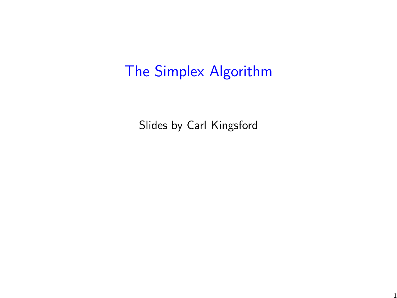# The Simplex Algorithm

Slides by Carl Kingsford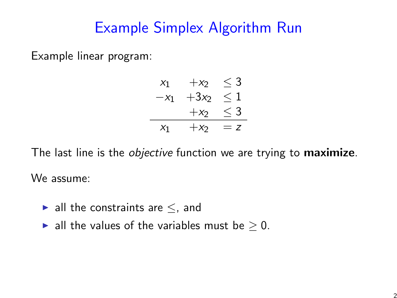# Example Simplex Algorithm Run

Example linear program:

$$
x_1 + x_2 \le 3
$$
  
\n
$$
-x_1 + 3x_2 \le 1
$$
  
\n
$$
+x_2 \le 3
$$
  
\n
$$
x_1 + x_2 = z
$$

The last line is the *objective* function we are trying to **maximize**. We assume:

- $\blacktriangleright$  all the constraints are  $\le$ , and
- ► all the values of the variables must be  $\geq$  0.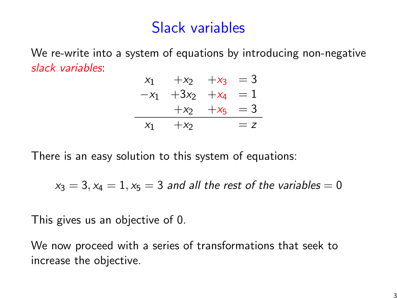## Slack variables

We re-write into a system of equations by introducing non-negative slack variables:

$$
x_1 + x_2 + x_3 = 3
$$
  
\n
$$
-x_1 + 3x_2 + x_4 = 1
$$
  
\n
$$
+x_2 + x_5 = 3
$$
  
\n
$$
x_1 + x_2 = z
$$

There is an easy solution to this system of equations:

$$
x_3 = 3, x_4 = 1, x_5 = 3 \text{ and all the rest of the variables} = 0
$$

This gives us an objective of 0.

We now proceed with a series of transformations that seek to increase the objective.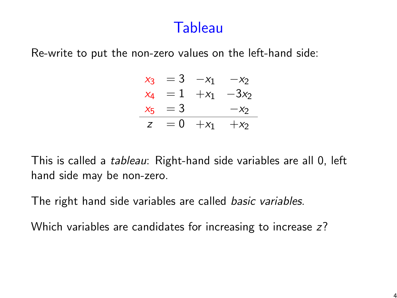#### **Tableau**

Re-write to put the non-zero values on the left-hand side:

| Xз                 | $=$ 3 | $-x_1$ | $-x2$   |
|--------------------|-------|--------|---------|
| X4                 | $=1$  | $+x_1$ | $-3x_2$ |
| $X_{\overline{b}}$ | $=$ 3 |        | $-x2$   |
| Z                  | $= 0$ | $+x_1$ | $+x2$   |

This is called a tableau: Right-hand side variables are all 0, left hand side may be non-zero.

The right hand side variables are called *basic variables*.

Which variables are candidates for increasing to increase z?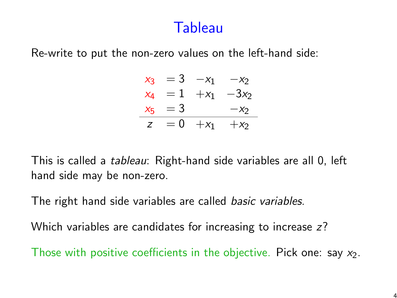#### **Tableau**

Re-write to put the non-zero values on the left-hand side:

| Xз                 | $=$ 3 | $-x_1$ | $-x2$   |
|--------------------|-------|--------|---------|
| X4                 | $=1$  | $+x_1$ | $-3x_2$ |
| $X_{\overline{b}}$ | $=$ 3 |        | $-x2$   |
| Z                  | $= 0$ | $+x_1$ | $+x2$   |

This is called a tableau: Right-hand side variables are all 0, left hand side may be non-zero.

The right hand side variables are called basic variables.

Which variables are candidates for increasing to increase z?

Those with positive coefficients in the objective. Pick one: say  $x_2$ .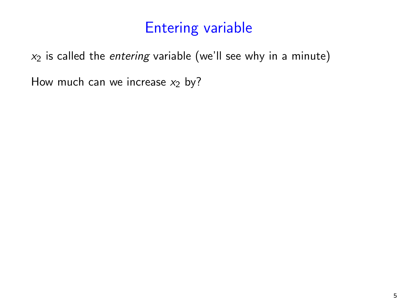# <span id="page-5-0"></span>Entering variable

 $x_2$  is called the *entering* variable (we'll see why in a minute)

How much can we increase  $x_2$  by?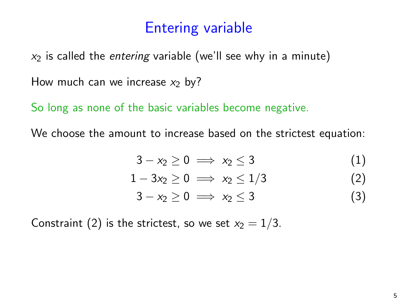# Entering variable

 $x_2$  is called the entering variable (we'll see why in a minute)

How much can we increase  $x_2$  by?

So long as none of the basic variables become negative.

We choose the amount to increase based on the strictest equation:

$$
3-x_2\geq 0\implies x_2\leq 3\tag{1}
$$

$$
1-3x_2\geq 0 \implies x_2\leq 1/3 \tag{2}
$$

$$
3-x_2\geq 0\implies x_2\leq 3\tag{3}
$$

Constraint [\(2\)](#page-5-0) is the strictest, so we set  $x_2 = 1/3$ .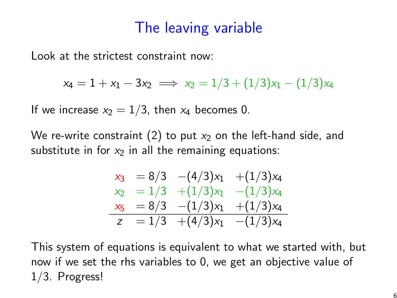### The leaving variable

Look at the strictest constraint now:

$$
x_4 = 1 + x_1 - 3x_2 \implies x_2 = 1/3 + (1/3)x_1 - (1/3)x_4
$$

If we increase  $x_2 = 1/3$ , then  $x_4$  becomes 0.

We re-write constraint [\(2\)](#page-5-0) to put  $x_2$  on the left-hand side, and substitute in for  $x_2$  in all the remaining equations:

$$
\begin{array}{rcl}\nx_3 & = & 8/3 & -(4/3)x_1 & +(1/3)x_4 \\
x_2 & = & 1/3 & +(1/3)x_1 & -(1/3)x_4 \\
x_5 & = & 8/3 & -(1/3)x_1 & +(1/3)x_4 \\
z & = & 1/3 & +(4/3)x_1 & -(1/3)x_4\n\end{array}
$$

This system of equations is equivalent to what we started with, but now if we set the rhs variables to 0, we get an objective value of 1/3. Progress!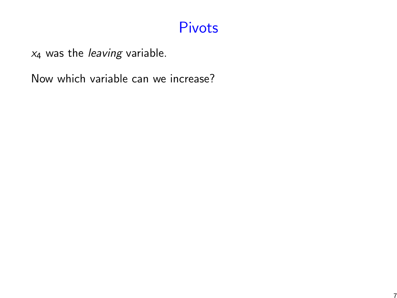### <span id="page-8-0"></span>Pivots

 $x_4$  was the *leaving* variable.

Now which variable can we increase?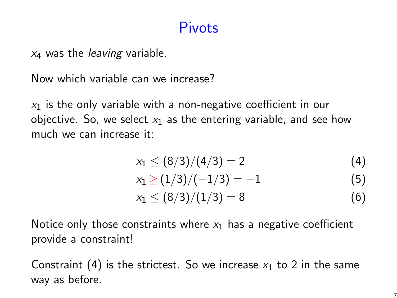#### Pivots

 $x_4$  was the *leaving* variable.

Now which variable can we increase?

 $x_1$  is the only variable with a non-negative coefficient in our objective. So, we select  $x_1$  as the entering variable, and see how much we can increase it:

$$
x_1 \leq (8/3)/(4/3) = 2 \tag{4}
$$

$$
x_1 \ge (1/3)/(-1/3) = -1 \tag{5}
$$

$$
x_1 \leq (8/3)/(1/3) = 8 \tag{6}
$$

Notice only those constraints where  $x_1$  has a negative coefficient provide a constraint!

Constraint [\(4\)](#page-8-0) is the strictest. So we increase  $x_1$  to 2 in the same way as before.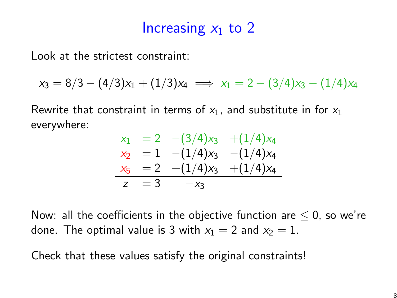#### Increasing  $x_1$  to 2

Look at the strictest constraint:

$$
x_3 = 8/3 - (4/3)x_1 + (1/3)x_4 \implies x_1 = 2 - (3/4)x_3 - (1/4)x_4
$$

Rewrite that constraint in terms of  $x_1$ , and substitute in for  $x_1$ everywhere:

$$
x_1 = 2 - (3/4)x_3 + (1/4)x_4
$$
  
\n
$$
x_2 = 1 - (1/4)x_3 - (1/4)x_4
$$
  
\n
$$
x_5 = 2 + (1/4)x_3 + (1/4)x_4
$$
  
\n
$$
z = 3 -x_3
$$

Now: all the coefficients in the objective function are  $\leq$  0, so we're done. The optimal value is 3 with  $x_1 = 2$  and  $x_2 = 1$ .

Check that these values satisfy the original constraints!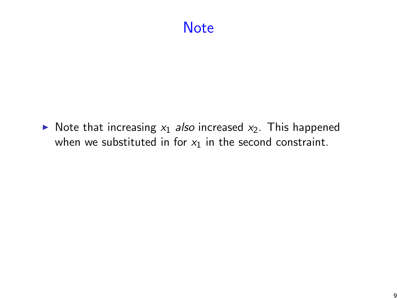## **Note**

 $\triangleright$  Note that increasing  $x_1$  also increased  $x_2$ . This happened when we substituted in for  $x_1$  in the second constraint.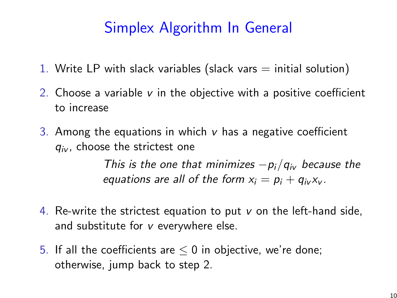# Simplex Algorithm In General

- 1. Write LP with slack variables (slack vars  $=$  initial solution)
- 2. Choose a variable v in the objective with a positive coefficient to increase
- 3. Among the equations in which  $\nu$  has a negative coefficient  $q_{iv}$ , choose the strictest one

<span id="page-12-0"></span>This is the one that minimizes  $-p_i/q_{iv}$  because the equations are all of the form  $x_i = p_i + q_{i}x_{i}$ .

- 4. Re-write the strictest equation to put  $v$  on the left-hand side, and substitute for v everywhere else.
- 5. If all the coefficients are  $\leq$  0 in objective, we're done; otherwise, jump back to step [2.](#page-12-0)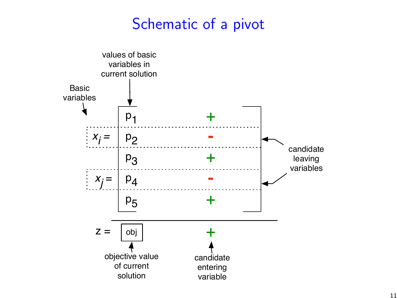### Schematic of a pivot

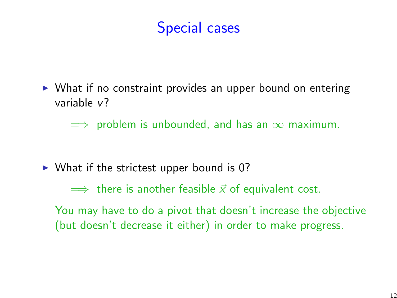## Special cases

 $\triangleright$  What if no constraint provides an upper bound on entering variable v?

 $\implies$  problem is unbounded, and has an  $\infty$  maximum.

 $\triangleright$  What if the strictest upper bound is 0?

 $\implies$  there is another feasible  $\vec{x}$  of equivalent cost.

You may have to do a pivot that doesn't increase the objective (but doesn't decrease it either) in order to make progress.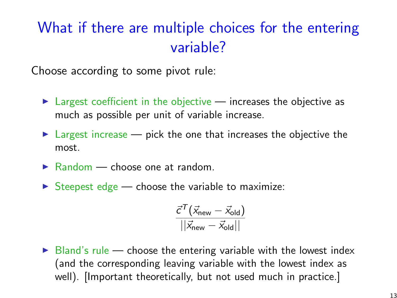# What if there are multiple choices for the entering variable?

Choose according to some pivot rule:

- $\blacktriangleright$  Largest coefficient in the objective increases the objective as much as possible per unit of variable increase.
- $\triangleright$  Largest increase pick the one that increases the objective the most.
- $\blacktriangleright$  Random choose one at random.
- $\triangleright$  Steepest edge choose the variable to maximize:

$$
\frac{\vec{\textit{c}}^{\mathcal{T}}(\vec{x}_{\text{new}}-\vec{x}_{\text{old}})}{||\vec{x}_{\text{new}}-\vec{x}_{\text{old}}||}
$$

 $\triangleright$  Bland's rule — choose the entering variable with the lowest index (and the corresponding leaving variable with the lowest index as well). [Important theoretically, but not used much in practice.]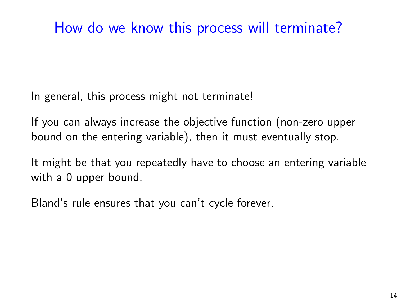# How do we know this process will terminate?

In general, this process might not terminate!

If you can always increase the objective function (non-zero upper bound on the entering variable), then it must eventually stop.

It might be that you repeatedly have to choose an entering variable with a 0 upper bound.

Bland's rule ensures that you can't cycle forever.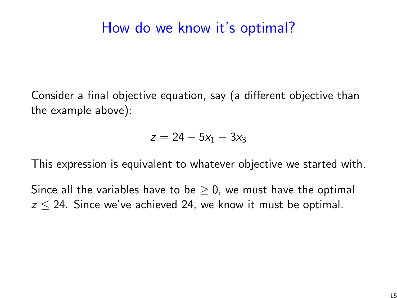#### How do we know it's optimal?

Consider a final objective equation, say (a different objective than the example above):

$$
z = 24 - 5x_1 - 3x_3
$$

This expression is equivalent to whatever objective we started with.

Since all the variables have to be  $\geq$  0, we must have the optimal  $z \le 24$ . Since we've achieved 24, we know it must be optimal.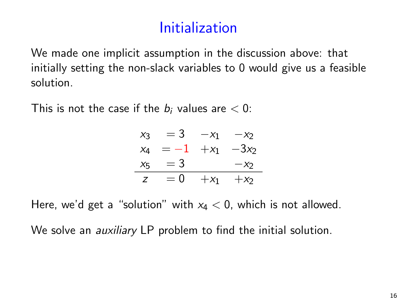# Initialization

We made one implicit assumption in the discussion above: that initially setting the non-slack variables to 0 would give us a feasible solution.

This is not the case if the  $b_i$  values are  $< 0$ :

| $X_3$ | $=$ 3 | $-x_1$  | $-x2$  |
|-------|-------|---------|--------|
| $X_4$ | $=-1$ | $+x_1$  | $-3x2$ |
| $X_5$ | $=$ 3 |         | $-x2$  |
| z     | $= 0$ | $+ x_1$ | $+x2$  |

Here, we'd get a "solution" with  $x_4 < 0$ , which is not allowed.

We solve an *auxiliary* LP problem to find the initial solution.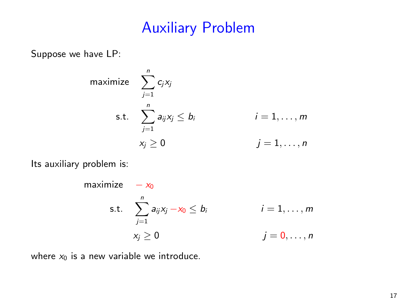## Auxiliary Problem

Suppose we have LP:

$$
\begin{aligned}\n\text{maximize} & \quad \sum_{j=1}^{n} c_j x_j \\
\text{s.t.} & \quad \sum_{j=1}^{n} a_{ij} x_j \le b_i \\
& \quad \text{if } i = 1, \dots, m \\
& \quad \text{if } x_j \ge 0\n\end{aligned}
$$

Its auxiliary problem is:

$$
\begin{aligned}\n\text{maximize} & \quad -x_0 \\
\text{s.t.} & \quad \sum_{j=1}^n a_{ij} x_j -x_0 \le b_i \\
x_j \ge 0 & \quad j = 0, \dots, n\n\end{aligned}
$$

where  $x_0$  is a new variable we introduce.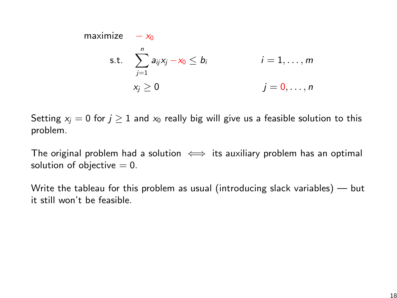maximize 
$$
-x_0
$$
  
\ns.t.  $\sum_{j=1}^n a_{ij}x_j - x_0 \le b_i$   $i = 1, ..., m$   
\n $x_j \ge 0$   $j = 0, ..., n$ 

Setting  $x_i = 0$  for  $j \ge 1$  and  $x_0$  really big will give us a feasible solution to this problem.

The original problem had a solution  $\iff$  its auxiliary problem has an optimal solution of objective  $= 0$ .

Write the tableau for this problem as usual (introducing slack variables) — but it still won't be feasible.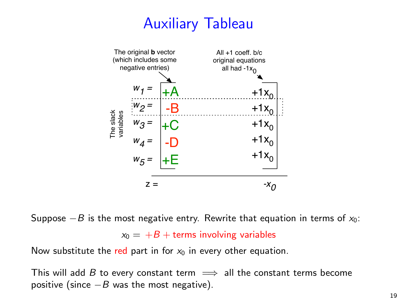# Auxiliary Tableau



Suppose  $-B$  is the most negative entry. Rewrite that equation in terms of  $x_0$ :  $x_0 = +B +$  terms involving variables

Now substitute the red part in for  $x_0$  in every other equation.

This will add B to every constant term  $\implies$  all the constant terms become positive (since  $-B$  was the most negative).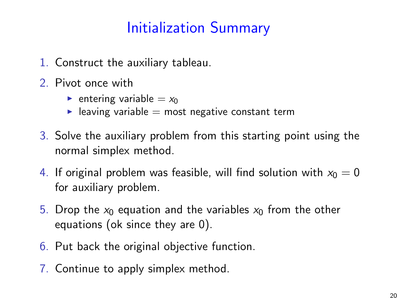# Initialization Summary

- 1. Construct the auxiliary tableau.
- 2. Pivot once with
	- **•** entering variable  $= x_0$
	- $\blacktriangleright$  leaving variable = most negative constant term
- 3. Solve the auxiliary problem from this starting point using the normal simplex method.
- 4. If original problem was feasible, will find solution with  $x_0 = 0$ for auxiliary problem.
- 5. Drop the  $x_0$  equation and the variables  $x_0$  from the other equations (ok since they are 0).
- 6. Put back the original objective function.
- 7. Continue to apply simplex method.